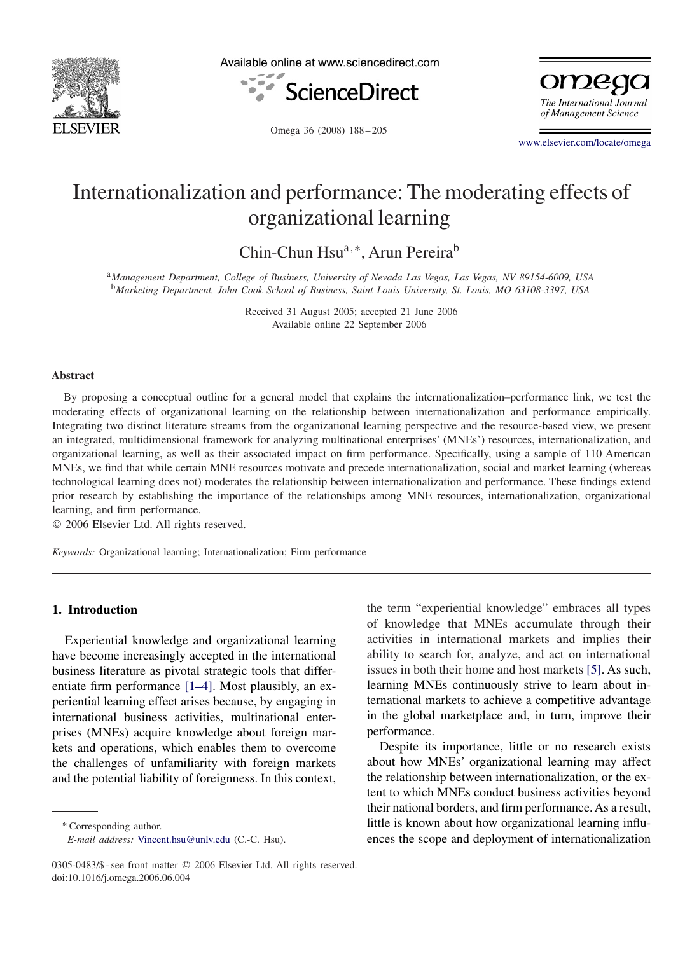

Available online at www.sciencedirect.com





Omega 36 (2008) 188 – 205

[www.elsevier.com/locate/omega](http://www.elsevier.com/locate/omega)

# Internationalization and performance: The moderating effects of organizational learning

Chin-Chun Hsu<sup>a,∗</sup>, Arun Pereira<sup>b</sup>

<sup>a</sup>*Management Department, College of Business, University of Nevada Las Vegas, Las Vegas, NV 89154-6009, USA* <sup>b</sup>*Marketing Department, John Cook School of Business, Saint Louis University, St. Louis, MO 63108-3397, USA*

> Received 31 August 2005; accepted 21 June 2006 Available online 22 September 2006

### **Abstract**

By proposing a conceptual outline for a general model that explains the internationalization–performance link, we test the moderating effects of organizational learning on the relationship between internationalization and performance empirically. Integrating two distinct literature streams from the organizational learning perspective and the resource-based view, we present an integrated, multidimensional framework for analyzing multinational enterprises' (MNEs') resources, internationalization, and organizational learning, as well as their associated impact on firm performance. Specifically, using a sample of 110 American MNEs, we find that while certain MNE resources motivate and precede internationalization, social and market learning (whereas technological learning does not) moderates the relationship between internationalization and performance. These findings extend prior research by establishing the importance of the relationships among MNE resources, internationalization, organizational learning, and firm performance.

 $© 2006 Elsevier Ltd. All rights reserved.$ 

*Keywords:* Organizational learning; Internationalization; Firm performance

### **1. Introduction**

Experiential knowledge and organizational learning have become increasingly accepted in the international business literature as pivotal strategic tools that differentiate firm performance [1–4]. Most plausibly, an experiential learning effect arises because, by engaging in international business activities, multinational enterprises (MNEs) acquire knowledge about foreign markets and operations, which enables them to overcome the challenges of unfamiliarity with foreign markets and the potential liability of foreignness. In this context,

∗ Corresponding author.

*E-mail address:* [Vincent.hsu@unlv.edu](mailto:Vincent.hsu@unlv.edu) (C.-C. Hsu).

the term "experiential knowledge" embraces all types of knowledge that MNEs accumulate through their activities in international markets and implies their ability to search for, analyze, and act on international issues in both their home and host markets [\[5\].](#page--1-0) As such, learning MNEs continuously strive to learn about international markets to achieve a competitive advantage in the global marketplace and, in turn, improve their performance.

Despite its importance, little or no research exists about how MNEs' organizational learning may affect the relationship between internationalization, or the extent to which MNEs conduct business activities beyond their national borders, and firm performance. As a result, little is known about how organizational learning influences the scope and deployment of internationalization

<sup>0305-0483/\$ -</sup> see front matter © 2006 Elsevier Ltd. All rights reserved. doi:10.1016/j.omega.2006.06.004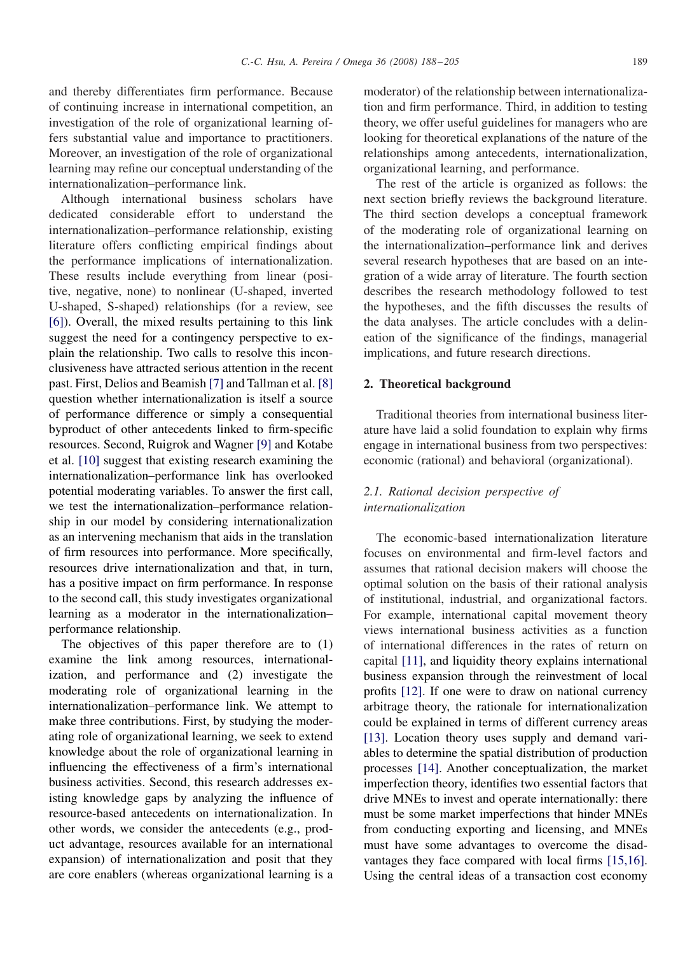and thereby differentiates firm performance. Because of continuing increase in international competition, an investigation of the role of organizational learning offers substantial value and importance to practitioners. Moreover, an investigation of the role of organizational learning may refine our conceptual understanding of the internationalization–performance link.

Although international business scholars have dedicated considerable effort to understand the internationalization–performance relationship, existing literature offers conflicting empirical findings about the performance implications of internationalization. These results include everything from linear (positive, negative, none) to nonlinear (U-shaped, inverted U-shaped, S-shaped) relationships (for a review, see [\[6\]\)](#page--1-0). Overall, the mixed results pertaining to this link suggest the need for a contingency perspective to explain the relationship. Two calls to resolve this inconclusiveness have attracted serious attention in the recent past. First, Delios and Beamish [\[7\]](#page--1-0) and Tallman et al. [\[8\]](#page--1-0) question whether internationalization is itself a source of performance difference or simply a consequential byproduct of other antecedents linked to firm-specific resources. Second, Ruigrok and Wagner [\[9\]](#page--1-0) and Kotabe et al. [\[10\]](#page--1-0) suggest that existing research examining the internationalization–performance link has overlooked potential moderating variables. To answer the first call, we test the internationalization–performance relationship in our model by considering internationalization as an intervening mechanism that aids in the translation of firm resources into performance. More specifically, resources drive internationalization and that, in turn, has a positive impact on firm performance. In response to the second call, this study investigates organizational learning as a moderator in the internationalization– performance relationship.

The objectives of this paper therefore are to (1) examine the link among resources, internationalization, and performance and (2) investigate the moderating role of organizational learning in the internationalization–performance link. We attempt to make three contributions. First, by studying the moderating role of organizational learning, we seek to extend knowledge about the role of organizational learning in influencing the effectiveness of a firm's international business activities. Second, this research addresses existing knowledge gaps by analyzing the influence of resource-based antecedents on internationalization. In other words, we consider the antecedents (e.g., product advantage, resources available for an international expansion) of internationalization and posit that they are core enablers (whereas organizational learning is a moderator) of the relationship between internationalization and firm performance. Third, in addition to testing theory, we offer useful guidelines for managers who are looking for theoretical explanations of the nature of the relationships among antecedents, internationalization, organizational learning, and performance.

The rest of the article is organized as follows: the next section briefly reviews the background literature. The third section develops a conceptual framework of the moderating role of organizational learning on the internationalization–performance link and derives several research hypotheses that are based on an integration of a wide array of literature. The fourth section describes the research methodology followed to test the hypotheses, and the fifth discusses the results of the data analyses. The article concludes with a delineation of the significance of the findings, managerial implications, and future research directions.

### **2. Theoretical background**

Traditional theories from international business literature have laid a solid foundation to explain why firms engage in international business from two perspectives: economic (rational) and behavioral (organizational).

## *2.1. Rational decision perspective of internationalization*

The economic-based internationalization literature focuses on environmental and firm-level factors and assumes that rational decision makers will choose the optimal solution on the basis of their rational analysis of institutional, industrial, and organizational factors. For example, international capital movement theory views international business activities as a function of international differences in the rates of return on capital [\[11\],](#page--1-0) and liquidity theory explains international business expansion through the reinvestment of local profits [\[12\].](#page--1-0) If one were to draw on national currency arbitrage theory, the rationale for internationalization could be explained in terms of different currency areas [\[13\].](#page--1-0) Location theory uses supply and demand variables to determine the spatial distribution of production processes [\[14\].](#page--1-0) Another conceptualization, the market imperfection theory, identifies two essential factors that drive MNEs to invest and operate internationally: there must be some market imperfections that hinder MNEs from conducting exporting and licensing, and MNEs must have some advantages to overcome the disadvantages they face compared with local firms [15,16]. Using the central ideas of a transaction cost economy